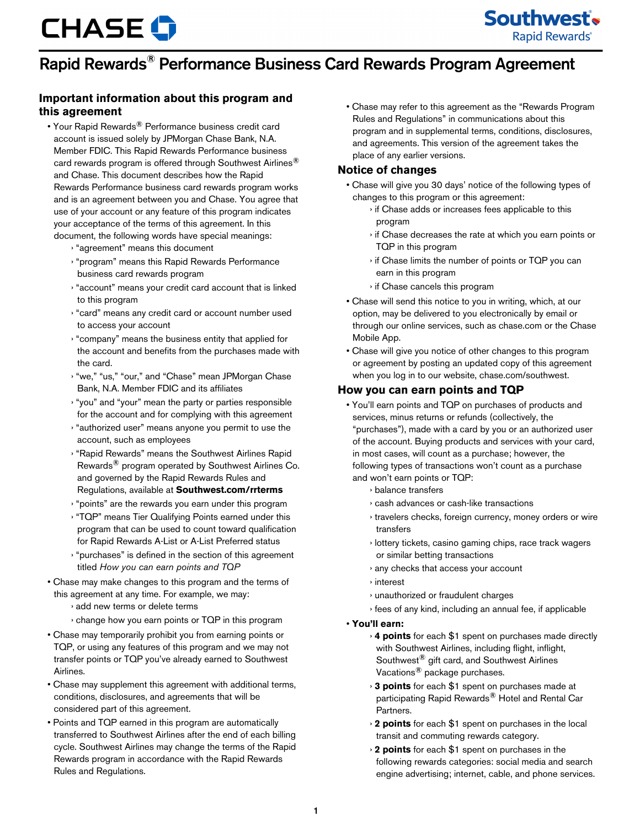## Rapid Rewards® Performance Business Card Rewards Program Agreement

## **Important information about this program and this agreement**

- Your Rapid Rewards<sup>®</sup> Performance business credit card account is issued solely by JPMorgan Chase Bank, N.A. Member FDIC. This Rapid Rewards Performance business card rewards program is offered through Southwest Airlines<sup>®</sup> and Chase. This document describes how the Rapid Rewards Performance business card rewards program works and is an agreement between you and Chase. You agree that use of your account or any feature of this program indicates your acceptance of the terms of this agreement. In this document, the following words have special meanings:
	- › "agreement" means this document
	- › "program" means this Rapid Rewards Performance business card rewards program
	- › "account" means your credit card account that is linked to this program
	- › "card" means any credit card or account number used to access your account
	- › "company" means the business entity that applied for the account and benefits from the purchases made with the card.
	- › "we," "us," "our," and "Chase" mean JPMorgan Chase Bank, N.A. Member FDIC and its affiliates
	- › "you" and "your" mean the party or parties responsible for the account and for complying with this agreement
	- › "authorized user" means anyone you permit to use the account, such as employees
	- › "Rapid Rewards" means the Southwest Airlines Rapid Rewards® program operated by Southwest Airlines Co. and governed by the Rapid Rewards Rules and Regulations, available at **Southwest.com/rrterms**
	- › "points" are the rewards you earn under this program
	- › "TQP" means Tier Qualifying Points earned under this program that can be used to count toward qualification for Rapid Rewards A-List or A-List Preferred status
	- › "purchases" is defined in the section of this agreement titled *How you can earn points and TQP*
- Chase may make changes to this program and the terms of this agreement at any time. For example, we may:
	- › add new terms or delete terms
	- › change how you earn points or TQP in this program
- Chase may temporarily prohibit you from earning points or TQP, or using any features of this program and we may not transfer points or TQP you've already earned to Southwest Airlines.
- Chase may supplement this agreement with additional terms, conditions, disclosures, and agreements that will be considered part of this agreement.
- Points and TQP earned in this program are automatically transferred to Southwest Airlines after the end of each billing cycle. Southwest Airlines may change the terms of the Rapid Rewards program in accordance with the Rapid Rewards Rules and Regulations.

• Chase may refer to this agreement as the "Rewards Program Rules and Regulations" in communications about this program and in supplemental terms, conditions, disclosures, and agreements. This version of the agreement takes the place of any earlier versions.

### **Notice of changes**

- Chase will give you 30 days' notice of the following types of changes to this program or this agreement:
	- › if Chase adds or increases fees applicable to this program
	- › if Chase decreases the rate at which you earn points or TQP in this program
	- › if Chase limits the number of points or TQP you can earn in this program
	- › if Chase cancels this program
- Chase will send this notice to you in writing, which, at our option, may be delivered to you electronically by email or through our online services, such as chase.com or the Chase Mobile App.
- Chase will give you notice of other changes to this program or agreement by posting an updated copy of this agreement when you log in to our website, chase.com/southwest.

### **How you can earn points and TQP**

- You'll earn points and TQP on purchases of products and services, minus returns or refunds (collectively, the "purchases"), made with a card by you or an authorized user of the account. Buying products and services with your card, in most cases, will count as a purchase; however, the following types of transactions won't count as a purchase and won't earn points or TQP:
	- › balance transfers
	- › cash advances or cash-like transactions
	- › travelers checks, foreign currency, money orders or wire transfers
	- › lottery tickets, casino gaming chips, race track wagers or similar betting transactions
	- › any checks that access your account
	- › interest
	- › unauthorized or fraudulent charges
	- › fees of any kind, including an annual fee, if applicable
- **You'll earn:**
	- › **4 points** for each \$1 spent on purchases made directly with Southwest Airlines, including flight, inflight, Southwest® gift card, and Southwest Airlines Vacations® package purchases.
	- › **3 points** for each \$1 spent on purchases made at participating Rapid Rewards<sup>®</sup> Hotel and Rental Car Partners.
	- › **2 points** for each \$1 spent on purchases in the local transit and commuting rewards category.
	- › **2 points** for each \$1 spent on purchases in the following rewards categories: social media and search engine advertising; internet, cable, and phone services.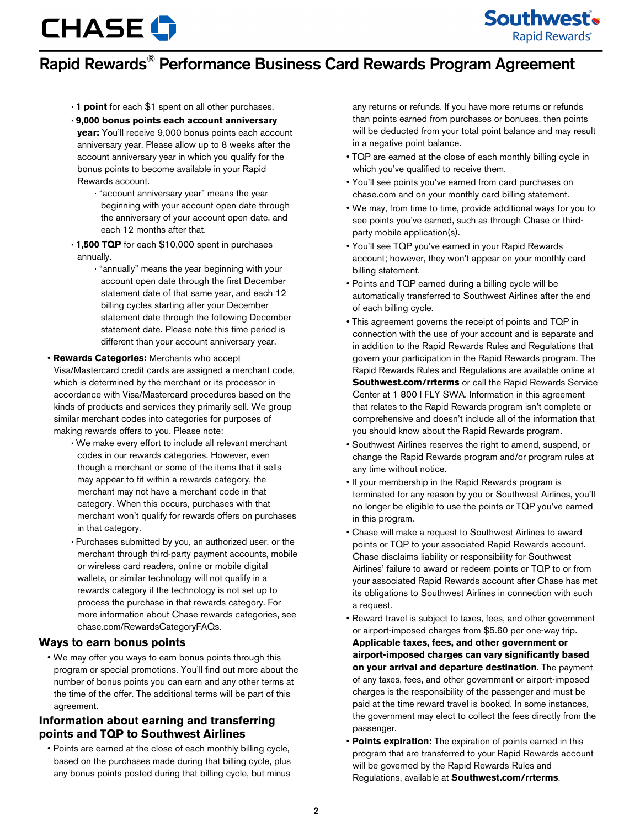

## Rapid Rewards® Performance Business Card Rewards Program Agreement

- › **1 point** for each \$1 spent on all other purchases.
- › **9,000 bonus points each account anniversary year:** You'll receive 9,000 bonus points each account anniversary year. Please allow up to 8 weeks after the account anniversary year in which you qualify for the bonus points to become available in your Rapid Rewards account.
	- · "account anniversary year" means the year beginning with your account open date through the anniversary of your account open date, and each 12 months after that.
- › **1,500 TQP** for each \$10,000 spent in purchases annually.
	- · "annually" means the year beginning with your account open date through the first December statement date of that same year, and each 12 billing cycles starting after your December statement date through the following December statement date. Please note this time period is different than your account anniversary year.

#### • **Rewards Categories:** Merchants who accept

Visa/Mastercard credit cards are assigned a merchant code, which is determined by the merchant or its processor in accordance with Visa/Mastercard procedures based on the kinds of products and services they primarily sell. We group similar merchant codes into categories for purposes of making rewards offers to you. Please note:

- › We make every effort to include all relevant merchant codes in our rewards categories. However, even though a merchant or some of the items that it sells may appear to fit within a rewards category, the merchant may not have a merchant code in that category. When this occurs, purchases with that merchant won't qualify for rewards offers on purchases in that category.
- Purchases submitted by you, an authorized user, or the merchant through third-party payment accounts, mobile or wireless card readers, online or mobile digital wallets, or similar technology will not qualify in a rewards category if the technology is not set up to process the purchase in that rewards category. For more information about Chase rewards categories, see chase.com/RewardsCategoryFAQs.

#### **Ways to earn bonus points**

• We may offer you ways to earn bonus points through this program or special promotions. You'll find out more about the number of bonus points you can earn and any other terms at the time of the offer. The additional terms will be part of this agreement.

### **Information about earning and transferring points and TQP to Southwest Airlines**

• Points are earned at the close of each monthly billing cycle, based on the purchases made during that billing cycle, plus any bonus points posted during that billing cycle, but minus any returns or refunds. If you have more returns or refunds than points earned from purchases or bonuses, then points will be deducted from your total point balance and may result in a negative point balance.

- TQP are earned at the close of each monthly billing cycle in which you've qualified to receive them.
- You'll see points you've earned from card purchases on chase.com and on your monthly card billing statement.
- We may, from time to time, provide additional ways for you to see points you've earned, such as through Chase or thirdparty mobile application(s).
- You'll see TQP you've earned in your Rapid Rewards account; however, they won't appear on your monthly card billing statement.
- Points and TQP earned during a billing cycle will be automatically transferred to Southwest Airlines after the end of each billing cycle.
- This agreement governs the receipt of points and TQP in connection with the use of your account and is separate and in addition to the Rapid Rewards Rules and Regulations that govern your participation in the Rapid Rewards program. The Rapid Rewards Rules and Regulations are available online at **Southwest.com/rrterms** or call the Rapid Rewards Service Center at 1 800 I FLY SWA. Information in this agreement that relates to the Rapid Rewards program isn't complete or comprehensive and doesn't include all of the information that you should know about the Rapid Rewards program.
- Southwest Airlines reserves the right to amend, suspend, or change the Rapid Rewards program and/or program rules at any time without notice.
- If your membership in the Rapid Rewards program is terminated for any reason by you or Southwest Airlines, you'll no longer be eligible to use the points or TQP you've earned in this program.
- Chase will make a request to Southwest Airlines to award points or TQP to your associated Rapid Rewards account. Chase disclaims liability or responsibility for Southwest Airlines' failure to award or redeem points or TQP to or from your associated Rapid Rewards account after Chase has met its obligations to Southwest Airlines in connection with such a request.
- Reward travel is subject to taxes, fees, and other government or airport-imposed charges from \$5.60 per one-way trip. **Applicable taxes, fees, and other government or airport-imposed charges can vary significantly based on your arrival and departure destination.** The payment of any taxes, fees, and other government or airport-imposed charges is the responsibility of the passenger and must be paid at the time reward travel is booked. In some instances, the government may elect to collect the fees directly from the passenger.
- **Points expiration:** The expiration of points earned in this program that are transferred to your Rapid Rewards account will be governed by the Rapid Rewards Rules and Regulations, available at **Southwest.com/rrterms**.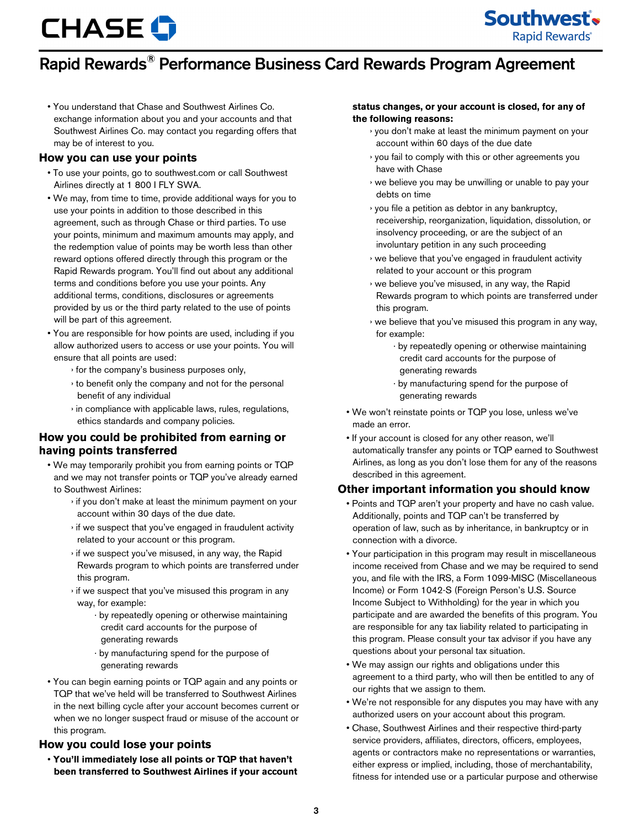

## Rapid Rewards® Performance Business Card Rewards Program Agreement

• You understand that Chase and Southwest Airlines Co. exchange information about you and your accounts and that Southwest Airlines Co. may contact you regarding offers that may be of interest to you.

### **How you can use your points**

- To use your points, go to southwest.com or call Southwest Airlines directly at 1 800 I FLY SWA.
- We may, from time to time, provide additional ways for you to use your points in addition to those described in this agreement, such as through Chase or third parties. To use your points, minimum and maximum amounts may apply, and the redemption value of points may be worth less than other reward options offered directly through this program or the Rapid Rewards program. You'll find out about any additional terms and conditions before you use your points. Any additional terms, conditions, disclosures or agreements provided by us or the third party related to the use of points will be part of this agreement.
- You are responsible for how points are used, including if you allow authorized users to access or use your points. You will ensure that all points are used:
	- › for the company's business purposes only,
	- › to benefit only the company and not for the personal benefit of any individual
	- › in compliance with applicable laws, rules, regulations, ethics standards and company policies.

## **How you could be prohibited from earning or having points transferred**

- We may temporarily prohibit you from earning points or TQP and we may not transfer points or TQP you've already earned to Southwest Airlines:
	- › if you don't make at least the minimum payment on your account within 30 days of the due date.
	- › if we suspect that you've engaged in fraudulent activity related to your account or this program.
	- › if we suspect you've misused, in any way, the Rapid Rewards program to which points are transferred under this program.
	- › if we suspect that you've misused this program in any way, for example:
		- · by repeatedly opening or otherwise maintaining credit card accounts for the purpose of generating rewards
		- · by manufacturing spend for the purpose of generating rewards
- You can begin earning points or TQP again and any points or TQP that we've held will be transferred to Southwest Airlines in the next billing cycle after your account becomes current or when we no longer suspect fraud or misuse of the account or this program.

## **How you could lose your points**

• **You'll immediately lose all points or TQP that haven't been transferred to Southwest Airlines if your account**

#### **status changes, or your account is closed, for any of the following reasons:**

- › you don't make at least the minimum payment on your account within 60 days of the due date
- › you fail to comply with this or other agreements you have with Chase
- › we believe you may be unwilling or unable to pay your debts on time
- › you file a petition as debtor in any bankruptcy, receivership, reorganization, liquidation, dissolution, or insolvency proceeding, or are the subject of an involuntary petition in any such proceeding
- › we believe that you've engaged in fraudulent activity related to your account or this program
- › we believe you've misused, in any way, the Rapid Rewards program to which points are transferred under this program.
- › we believe that you've misused this program in any way, for example:
	- · by repeatedly opening or otherwise maintaining credit card accounts for the purpose of generating rewards
	- · by manufacturing spend for the purpose of generating rewards
- We won't reinstate points or TQP you lose, unless we've made an error.
- If your account is closed for any other reason, we'll automatically transfer any points or TQP earned to Southwest Airlines, as long as you don't lose them for any of the reasons described in this agreement.

## **Other important information you should know**

- Points and TQP aren't your property and have no cash value. Additionally, points and TQP can't be transferred by operation of law, such as by inheritance, in bankruptcy or in connection with a divorce.
- Your participation in this program may result in miscellaneous income received from Chase and we may be required to send you, and file with the IRS, a Form 1099-MISC (Miscellaneous Income) or Form 1042-S (Foreign Person's U.S. Source Income Subject to Withholding) for the year in which you participate and are awarded the benefits of this program. You are responsible for any tax liability related to participating in this program. Please consult your tax advisor if you have any questions about your personal tax situation.
- We may assign our rights and obligations under this agreement to a third party, who will then be entitled to any of our rights that we assign to them.
- We're not responsible for any disputes you may have with any authorized users on your account about this program.
- Chase, Southwest Airlines and their respective third-party service providers, affiliates, directors, officers, employees, agents or contractors make no representations or warranties, either express or implied, including, those of merchantability, fitness for intended use or a particular purpose and otherwise